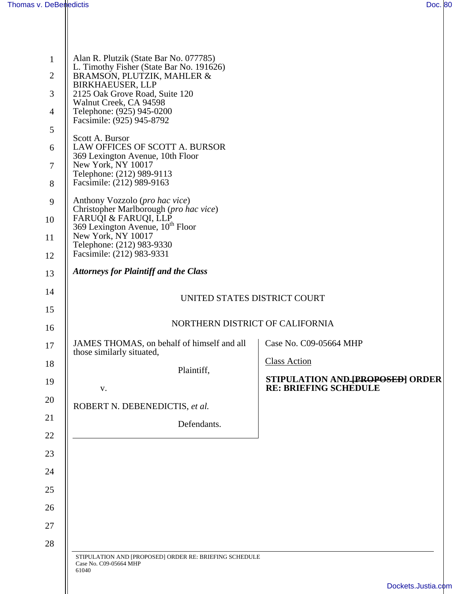| $\mathbf{1}$ | Alan R. Plutzik (State Bar No. 077785)<br>L. Timothy Fisher (State Bar No. 191626)        |                                                                  |  |  |  |
|--------------|-------------------------------------------------------------------------------------------|------------------------------------------------------------------|--|--|--|
| 2            | BRAMSON, PLUTZIK, MAHLER &<br><b>BIRKHAEUSER, LLP</b>                                     |                                                                  |  |  |  |
| 3            | 2125 Oak Grove Road, Suite 120<br>Walnut Creek, CA 94598                                  |                                                                  |  |  |  |
| 4            | Telephone: (925) 945-0200<br>Facsimile: (925) 945-8792                                    |                                                                  |  |  |  |
| 5            | Scott A. Bursor                                                                           |                                                                  |  |  |  |
| 6            | LAW OFFICES OF SCOTT A. BURSOR<br>369 Lexington Avenue, 10th Floor                        |                                                                  |  |  |  |
| 7            | New York, NY 10017<br>Telephone: (212) 989-9113                                           |                                                                  |  |  |  |
| 8            | Facsimile: (212) 989-9163                                                                 |                                                                  |  |  |  |
| 9            | Anthony Vozzolo (pro hac vice)<br>Christopher Marlborough (pro hac vice)                  |                                                                  |  |  |  |
| 10           | FARUQI & FARUQI, LLP<br>369 Lexington Avenue, 10 <sup>th</sup> Floor                      |                                                                  |  |  |  |
| 11           | New York, NY 10017<br>Telephone: (212) 983-9330                                           |                                                                  |  |  |  |
| 12           | Facsimile: (212) 983-9331                                                                 |                                                                  |  |  |  |
| 13           | <b>Attorneys for Plaintiff and the Class</b>                                              |                                                                  |  |  |  |
| 14           | UNITED STATES DISTRICT COURT                                                              |                                                                  |  |  |  |
| 15           |                                                                                           |                                                                  |  |  |  |
| 16           | NORTHERN DISTRICT OF CALIFORNIA                                                           |                                                                  |  |  |  |
| 17           | JAMES THOMAS, on behalf of himself and all<br>those similarly situated,                   | Case No. C09-05664 MHP                                           |  |  |  |
| 18           | Plaintiff,                                                                                | <b>Class Action</b>                                              |  |  |  |
| 19           | V.                                                                                        | STIPULATION AND [PROPOSED] ORDER<br><b>RE: BRIEFING SCHEDULE</b> |  |  |  |
| 20           | ROBERT N. DEBENEDICTIS, et al.                                                            |                                                                  |  |  |  |
| 21           | Defendants.                                                                               |                                                                  |  |  |  |
| 22           |                                                                                           |                                                                  |  |  |  |
| 23           |                                                                                           |                                                                  |  |  |  |
| 24           |                                                                                           |                                                                  |  |  |  |
| 25           |                                                                                           |                                                                  |  |  |  |
| 26           |                                                                                           |                                                                  |  |  |  |
| 27           |                                                                                           |                                                                  |  |  |  |
| 28           |                                                                                           |                                                                  |  |  |  |
|              | STIPULATION AND [PROPOSED] ORDER RE: BRIEFING SCHEDULE<br>Case No. C09-05664 MHP<br>61040 |                                                                  |  |  |  |
|              |                                                                                           | Dockets.Justia.com                                               |  |  |  |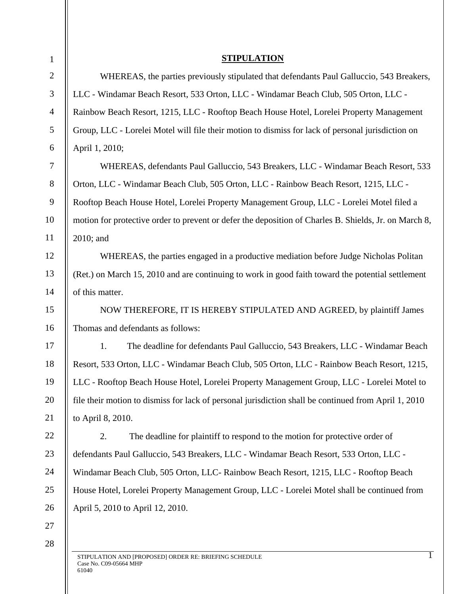| $\mathbf{1}$   | <b>STIPULATION</b>                                                                                    |  |  |  |
|----------------|-------------------------------------------------------------------------------------------------------|--|--|--|
| $\overline{2}$ | WHEREAS, the parties previously stipulated that defendants Paul Galluccio, 543 Breakers,              |  |  |  |
| 3              | LLC - Windamar Beach Resort, 533 Orton, LLC - Windamar Beach Club, 505 Orton, LLC -                   |  |  |  |
| $\overline{4}$ | Rainbow Beach Resort, 1215, LLC - Rooftop Beach House Hotel, Lorelei Property Management              |  |  |  |
| 5              | Group, LLC - Lorelei Motel will file their motion to dismiss for lack of personal jurisdiction on     |  |  |  |
| 6              | April 1, 2010;                                                                                        |  |  |  |
| 7              | WHEREAS, defendants Paul Galluccio, 543 Breakers, LLC - Windamar Beach Resort, 533                    |  |  |  |
| $8\,$          | Orton, LLC - Windamar Beach Club, 505 Orton, LLC - Rainbow Beach Resort, 1215, LLC -                  |  |  |  |
| 9              | Rooftop Beach House Hotel, Lorelei Property Management Group, LLC - Lorelei Motel filed a             |  |  |  |
| 10             | motion for protective order to prevent or defer the deposition of Charles B. Shields, Jr. on March 8, |  |  |  |
| 11             | 2010; and                                                                                             |  |  |  |
| 12             | WHEREAS, the parties engaged in a productive mediation before Judge Nicholas Politan                  |  |  |  |
| 13             | (Ret.) on March 15, 2010 and are continuing to work in good faith toward the potential settlement     |  |  |  |
| 14             | of this matter.                                                                                       |  |  |  |
| 15             | NOW THEREFORE, IT IS HEREBY STIPULATED AND AGREED, by plaintiff James                                 |  |  |  |
| 16             | Thomas and defendants as follows:                                                                     |  |  |  |
| 17             | The deadline for defendants Paul Galluccio, 543 Breakers, LLC - Windamar Beach<br>1.                  |  |  |  |
| 18             | Resort, 533 Orton, LLC - Windamar Beach Club, 505 Orton, LLC - Rainbow Beach Resort, 1215,            |  |  |  |
| 19             | LLC - Rooftop Beach House Hotel, Lorelei Property Management Group, LLC - Lorelei Motel to            |  |  |  |
| 20             | file their motion to dismiss for lack of personal jurisdiction shall be continued from April 1, 2010  |  |  |  |
| 21             | to April 8, 2010.                                                                                     |  |  |  |
| 22             | The deadline for plaintiff to respond to the motion for protective order of<br>2.                     |  |  |  |
| 23             | defendants Paul Galluccio, 543 Breakers, LLC - Windamar Beach Resort, 533 Orton, LLC -                |  |  |  |
| 24             | Windamar Beach Club, 505 Orton, LLC- Rainbow Beach Resort, 1215, LLC - Rooftop Beach                  |  |  |  |
| 25             | House Hotel, Lorelei Property Management Group, LLC - Lorelei Motel shall be continued from           |  |  |  |
| 26             | April 5, 2010 to April 12, 2010.                                                                      |  |  |  |
| 27             |                                                                                                       |  |  |  |
| 28             |                                                                                                       |  |  |  |
|                | STIPULATION AND [PROPOSED] ORDER RE: BRIEFING SCHEDULE<br>Case No. C09-05664 MHP                      |  |  |  |

61040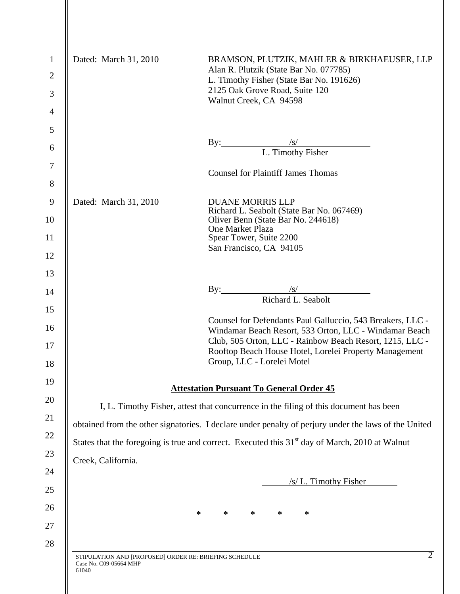| $\mathbf{1}$<br>$\mathfrak{2}$<br>3 | Dated: March 31, 2010                                                                                      | BRAMSON, PLUTZIK, MAHLER & BIRKHAEUSER, LLP<br>Alan R. Plutzik (State Bar No. 077785)<br>L. Timothy Fisher (State Bar No. 191626)<br>2125 Oak Grove Road, Suite 120<br>Walnut Creek, CA 94598 |  |
|-------------------------------------|------------------------------------------------------------------------------------------------------------|-----------------------------------------------------------------------------------------------------------------------------------------------------------------------------------------------|--|
| $\overline{4}$                      |                                                                                                            |                                                                                                                                                                                               |  |
| 5                                   |                                                                                                            |                                                                                                                                                                                               |  |
| 6                                   |                                                                                                            | By: /s/<br>L. Timothy Fisher                                                                                                                                                                  |  |
| 7                                   |                                                                                                            |                                                                                                                                                                                               |  |
| 8                                   |                                                                                                            | <b>Counsel for Plaintiff James Thomas</b>                                                                                                                                                     |  |
| 9                                   | Dated: March 31, 2010                                                                                      | <b>DUANE MORRIS LLP</b>                                                                                                                                                                       |  |
| 10                                  |                                                                                                            | Richard L. Seabolt (State Bar No. 067469)<br>Oliver Benn (State Bar No. 244618)                                                                                                               |  |
| 11                                  |                                                                                                            | <b>One Market Plaza</b><br>Spear Tower, Suite 2200                                                                                                                                            |  |
| 12                                  |                                                                                                            | San Francisco, CA 94105                                                                                                                                                                       |  |
| 13                                  |                                                                                                            |                                                                                                                                                                                               |  |
| 14                                  |                                                                                                            | By: /s/<br>Richard L. Seabolt                                                                                                                                                                 |  |
| 15                                  |                                                                                                            |                                                                                                                                                                                               |  |
| 16                                  |                                                                                                            | Counsel for Defendants Paul Galluccio, 543 Breakers, LLC -<br>Windamar Beach Resort, 533 Orton, LLC - Windamar Beach                                                                          |  |
| 17                                  |                                                                                                            | Club, 505 Orton, LLC - Rainbow Beach Resort, 1215, LLC -<br>Rooftop Beach House Hotel, Lorelei Property Management                                                                            |  |
| 18                                  |                                                                                                            | Group, LLC - Lorelei Motel                                                                                                                                                                    |  |
| 19                                  |                                                                                                            | <b>Attestation Pursuant To General Order 45</b>                                                                                                                                               |  |
| 20                                  |                                                                                                            |                                                                                                                                                                                               |  |
| 21                                  | I, L. Timothy Fisher, attest that concurrence in the filing of this document has been                      |                                                                                                                                                                                               |  |
| 22                                  | obtained from the other signatories. I declare under penalty of perjury under the laws of the United       |                                                                                                                                                                                               |  |
| 23                                  | States that the foregoing is true and correct. Executed this 31 <sup>st</sup> day of March, 2010 at Walnut |                                                                                                                                                                                               |  |
| 24                                  | Creek, California.                                                                                         |                                                                                                                                                                                               |  |
| 25                                  |                                                                                                            | /s/ L. Timothy Fisher                                                                                                                                                                         |  |
| 26                                  |                                                                                                            | ∗<br>∗                                                                                                                                                                                        |  |
| 27                                  | ∗                                                                                                          | ∗<br>∗                                                                                                                                                                                        |  |
| 28                                  |                                                                                                            |                                                                                                                                                                                               |  |
|                                     | STIPULATION AND [PROPOSED] ORDER RE: BRIEFING SCHEDULE<br>Case No. C09-05664 MHP<br>61040                  | $\overline{2}$                                                                                                                                                                                |  |